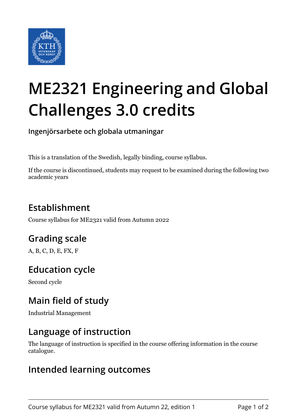

# **ME2321 Engineering and Global Challenges 3.0 credits**

**Ingenjörsarbete och globala utmaningar**

This is a translation of the Swedish, legally binding, course syllabus.

If the course is discontinued, students may request to be examined during the following two academic years

# **Establishment**

Course syllabus for ME2321 valid from Autumn 2022

# **Grading scale**

A, B, C, D, E, FX, F

## **Education cycle**

Second cycle

## **Main field of study**

Industrial Management

#### **Language of instruction**

The language of instruction is specified in the course offering information in the course catalogue.

#### **Intended learning outcomes**